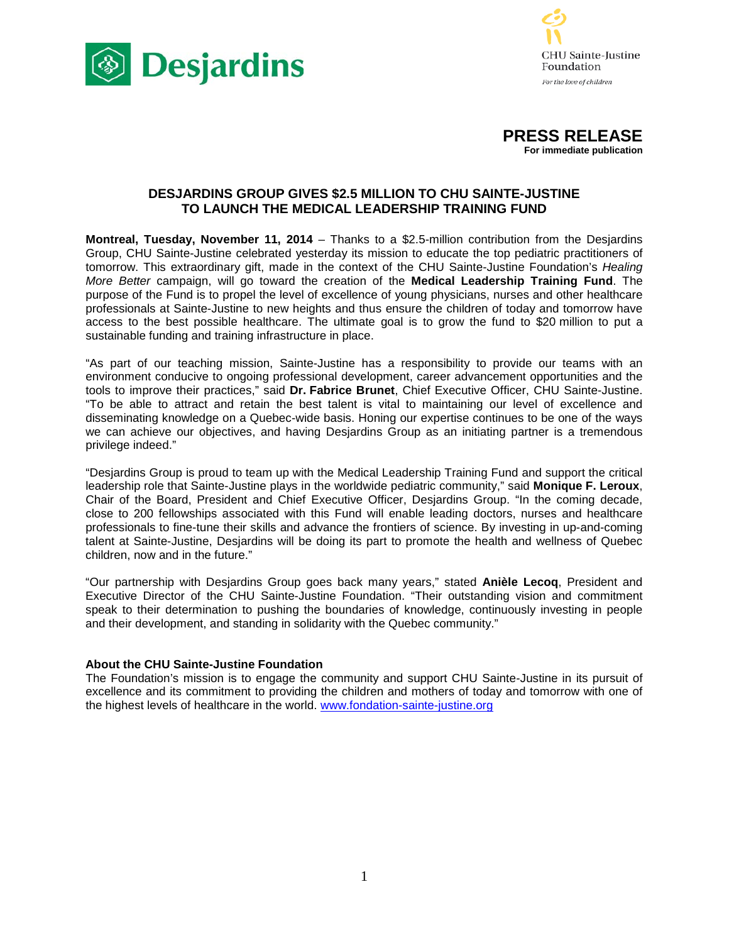





# **DESJARDINS GROUP GIVES \$2.5 MILLION TO CHU SAINTE-JUSTINE TO LAUNCH THE MEDICAL LEADERSHIP TRAINING FUND**

**Montreal, Tuesday, November 11, 2014** – Thanks to a \$2.5-million contribution from the Desjardins Group, CHU Sainte-Justine celebrated yesterday its mission to educate the top pediatric practitioners of tomorrow. This extraordinary gift, made in the context of the CHU Sainte-Justine Foundation's *Healing More Better* campaign, will go toward the creation of the **Medical Leadership Training Fund**. The purpose of the Fund is to propel the level of excellence of young physicians, nurses and other healthcare professionals at Sainte-Justine to new heights and thus ensure the children of today and tomorrow have access to the best possible healthcare. The ultimate goal is to grow the fund to \$20 million to put a sustainable funding and training infrastructure in place.

"As part of our teaching mission, Sainte-Justine has a responsibility to provide our teams with an environment conducive to ongoing professional development, career advancement opportunities and the tools to improve their practices," said **Dr. Fabrice Brunet**, Chief Executive Officer, CHU Sainte-Justine. "To be able to attract and retain the best talent is vital to maintaining our level of excellence and disseminating knowledge on a Quebec-wide basis. Honing our expertise continues to be one of the ways we can achieve our objectives, and having Desjardins Group as an initiating partner is a tremendous privilege indeed."

"Desjardins Group is proud to team up with the Medical Leadership Training Fund and support the critical leadership role that Sainte-Justine plays in the worldwide pediatric community," said **Monique F. Leroux**, Chair of the Board, President and Chief Executive Officer, Desjardins Group. "In the coming decade, close to 200 fellowships associated with this Fund will enable leading doctors, nurses and healthcare professionals to fine-tune their skills and advance the frontiers of science. By investing in up-and-coming talent at Sainte-Justine, Desjardins will be doing its part to promote the health and wellness of Quebec children, now and in the future."

"Our partnership with Desjardins Group goes back many years," stated **Anièle Lecoq**, President and Executive Director of the CHU Sainte-Justine Foundation. "Their outstanding vision and commitment speak to their determination to pushing the boundaries of knowledge, continuously investing in people and their development, and standing in solidarity with the Quebec community."

# **About the CHU Sainte-Justine Foundation**

The Foundation's mission is to engage the community and support CHU Sainte-Justine in its pursuit of excellence and its commitment to providing the children and mothers of today and tomorrow with one of the highest levels of healthcare in the world. [www.fondation-sainte-justine.org](http://www.fondation-sainte-justine.org/)